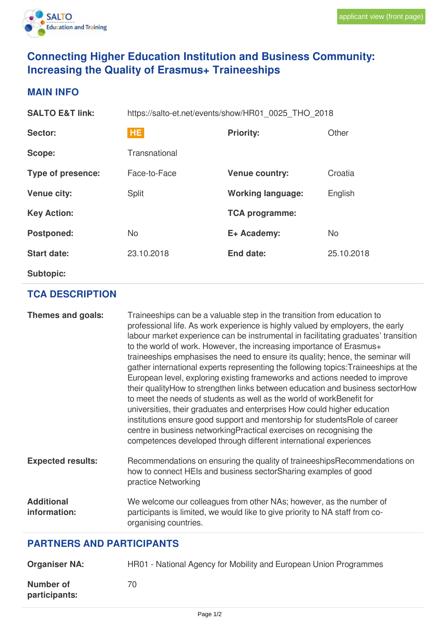

# **Connecting Higher Education Institution and Business Community: Increasing the Quality of Erasmus+ Traineeships**

### **MAIN INFO**

| <b>SALTO E&amp;T link:</b> | https://salto-et.net/events/show/HR01 0025 THO 2018 |                          |            |
|----------------------------|-----------------------------------------------------|--------------------------|------------|
| <b>Sector:</b>             | <b>HE</b>                                           | <b>Priority:</b>         | Other      |
| Scope:                     | Transnational                                       |                          |            |
| Type of presence:          | Face-to-Face                                        | <b>Venue country:</b>    | Croatia    |
| <b>Venue city:</b>         | <b>Split</b>                                        | <b>Working language:</b> | English    |
| <b>Key Action:</b>         |                                                     | <b>TCA programme:</b>    |            |
| <b>Postponed:</b>          | <b>No</b>                                           | E+ Academy:              | <b>No</b>  |
| <b>Start date:</b>         | 23.10.2018                                          | End date:                | 25.10.2018 |
| <b>Subtopic:</b>           |                                                     |                          |            |

# **TCA DESCRIPTION**

| Themes and goals:                 | Traineeships can be a valuable step in the transition from education to<br>professional life. As work experience is highly valued by employers, the early<br>labour market experience can be instrumental in facilitating graduates' transition<br>to the world of work. However, the increasing importance of Erasmus+<br>traineeships emphasises the need to ensure its quality; hence, the seminar will<br>gather international experts representing the following topics: Traineeships at the<br>European level, exploring existing frameworks and actions needed to improve<br>their quality How to strengthen links between education and business sector How<br>to meet the needs of students as well as the world of workBenefit for<br>universities, their graduates and enterprises How could higher education<br>institutions ensure good support and mentorship for students Role of career<br>centre in business networking Practical exercises on recognising the<br>competences developed through different international experiences |
|-----------------------------------|------------------------------------------------------------------------------------------------------------------------------------------------------------------------------------------------------------------------------------------------------------------------------------------------------------------------------------------------------------------------------------------------------------------------------------------------------------------------------------------------------------------------------------------------------------------------------------------------------------------------------------------------------------------------------------------------------------------------------------------------------------------------------------------------------------------------------------------------------------------------------------------------------------------------------------------------------------------------------------------------------------------------------------------------------|
| <b>Expected results:</b>          | Recommendations on ensuring the quality of traineeships Recommendations on<br>how to connect HEIs and business sectorSharing examples of good<br>practice Networking                                                                                                                                                                                                                                                                                                                                                                                                                                                                                                                                                                                                                                                                                                                                                                                                                                                                                 |
| <b>Additional</b><br>information: | We welcome our colleagues from other NAs; however, as the number of<br>participants is limited, we would like to give priority to NA staff from co-<br>organising countries.                                                                                                                                                                                                                                                                                                                                                                                                                                                                                                                                                                                                                                                                                                                                                                                                                                                                         |

## **PARTNERS AND PARTICIPANTS**

| <b>Organiser NA:</b>       | HR01 - National Agency for Mobility and European Union Programmes |
|----------------------------|-------------------------------------------------------------------|
| Number of<br>participants: | 70                                                                |